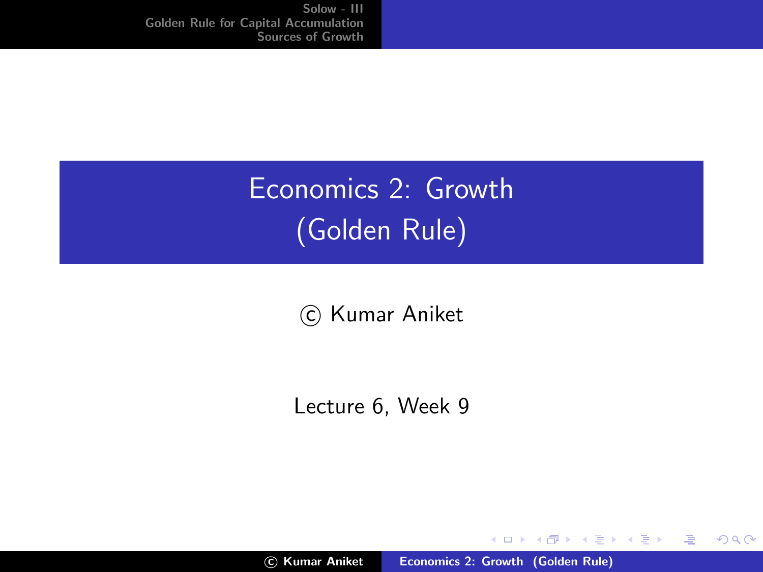# Economics 2: Growth (Golden Rule)

(c) Kumar Aniket

Lecture 6, Week 9

**≮ロ ▶ ⊀ 御 ▶ ⊀ 君 ▶ ⊀ 君 ▶** 

<span id="page-0-0"></span>哇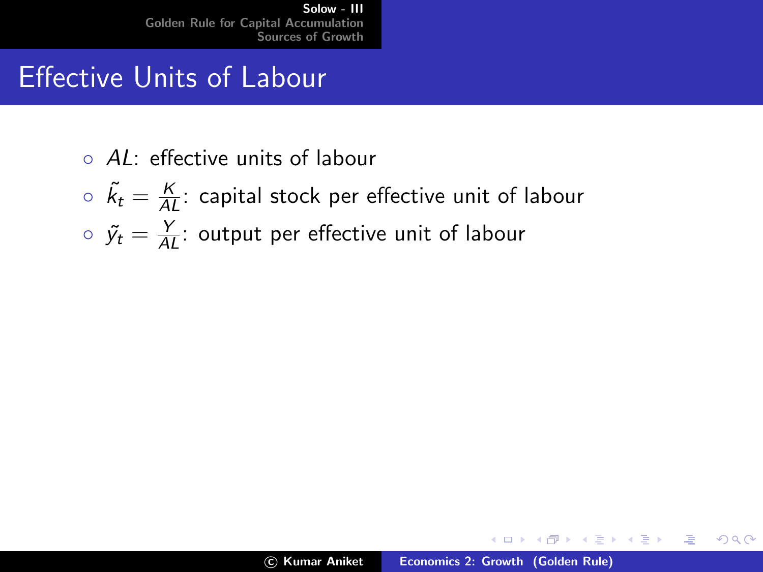## Effective Units of Labour

- AL: effective units of labour
- $\delta \delta \tilde{k}_t = \frac{K}{AL}$ : capital stock per effective unit of labour
- $\circ \ \ \tilde{y_t} = \frac{Y}{AL}$ : output per effective unit of labour

a mills.

す (伊) ト す (白) ト す (白) トー

<span id="page-1-0"></span>哇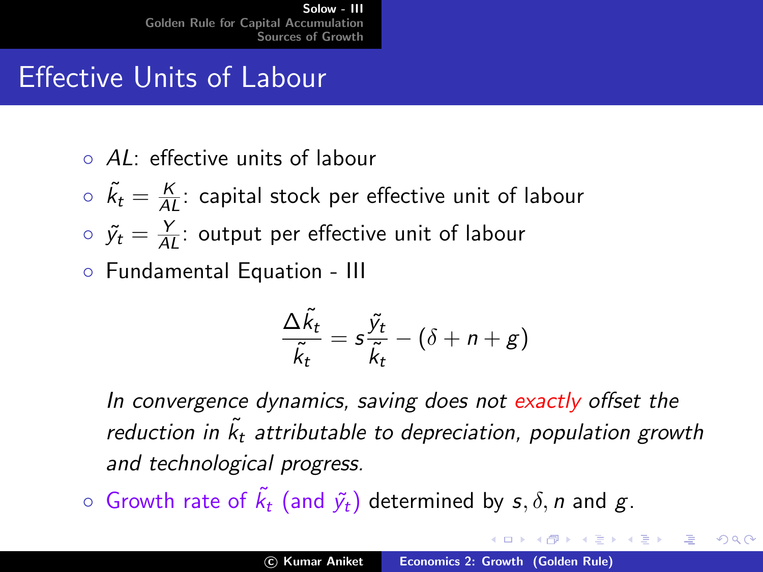# Effective Units of Labour

- AL: effective units of labour
- $\delta \delta \tilde{k}_t = \frac{K}{AL}$ : capital stock per effective unit of labour
- $\circ \ \ \tilde{y_t} = \frac{Y}{AL}$ : output per effective unit of labour
- Fundamental Equation III

$$
\frac{\Delta \tilde{k}_t}{\tilde{k}_t} = s \frac{\tilde{y}_t}{\tilde{k}_t} - (\delta + n + g)
$$

In convergence dynamics, saving does not exactly offset the reduction in  $\tilde{k_t}$  attributable to depreciation, population growth and technological progress.

 $\circ$  Growth rate of  $\tilde{k_t}$  (and  $\tilde{y_t}$ ) determined by  $s, \delta, n$  and  $g.$ 

御き メミメ メミメ

 $\Omega$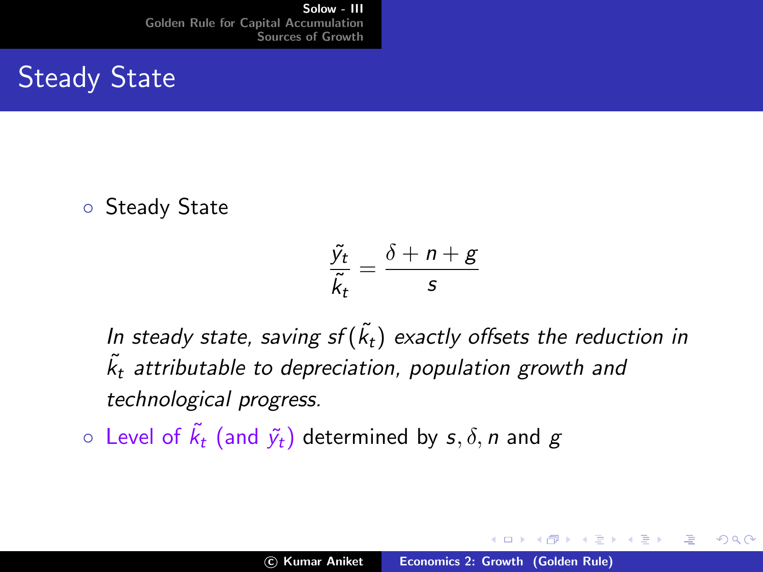# Steady State

◦ Steady State

$$
\frac{\tilde{y}_t}{\tilde{k}_t} = \frac{\delta + n + g}{s}
$$

In steady state, saving sf $(\tilde{k}_t)$  exactly offsets the reduction in  $\tilde{k_t}$  attributable to depreciation, population growth and technological progress.

 $\circ\,$  Level of  $\tilde{k_t}$  (and  $\tilde{y_t})$  determined by  $s,\delta,n$  and  $g$ 

∢ 重 ≯

へのへ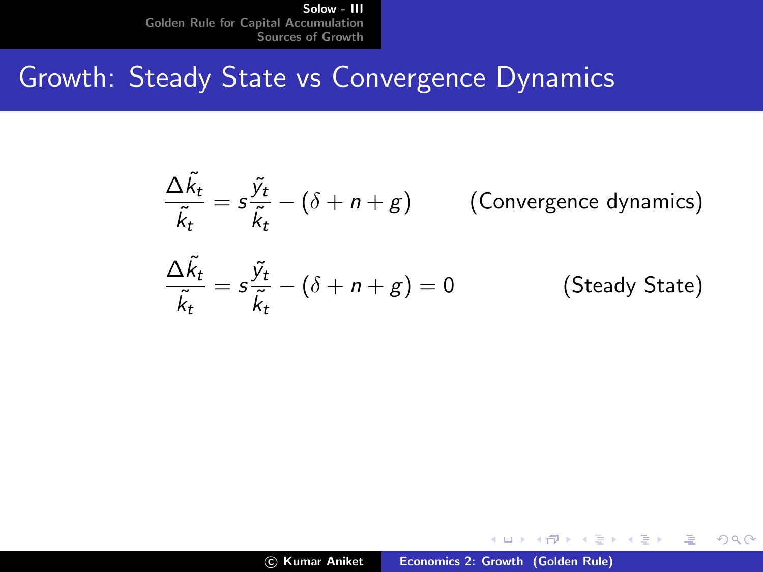# Growth: Steady State vs Convergence Dynamics

$$
\frac{\Delta \tilde{k}_t}{\tilde{k}_t} = s \frac{\tilde{y}_t}{\tilde{k}_t} - (\delta + n + g) \qquad \text{(Convergence dynamics)}
$$
  

$$
\frac{\Delta \tilde{k}_t}{\tilde{k}_t} = s \frac{\tilde{y}_t}{\tilde{k}_t} - (\delta + n + g) = 0 \qquad \text{(Steady State)}
$$

a mills.

す (伊) ト す (白) ト す (白) トー

哇

 $299$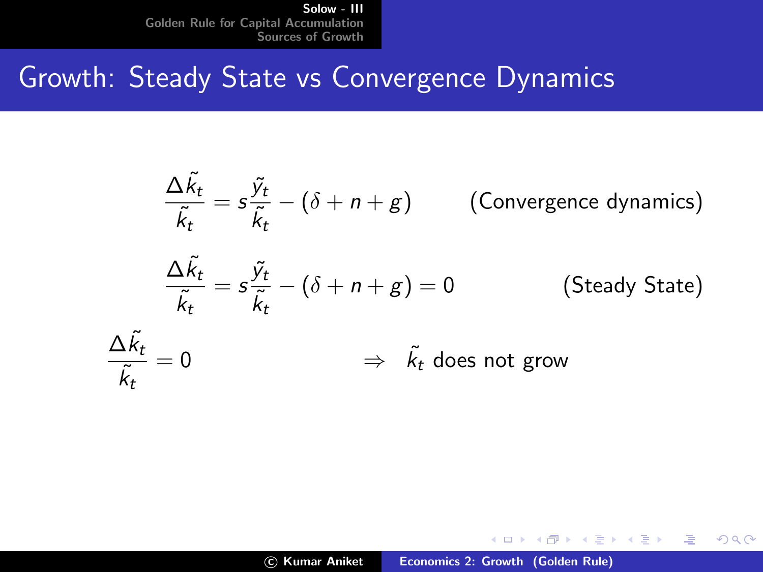# Growth: Steady State vs Convergence Dynamics

$$
\frac{\Delta \tilde{k}_t}{\tilde{k}_t} = s \frac{\tilde{y}_t}{\tilde{k}_t} - (\delta + n + g) \qquad \text{(Convergence dynamics)}
$$
\n
$$
\frac{\Delta \tilde{k}_t}{\tilde{k}_t} = s \frac{\tilde{y}_t}{\tilde{k}_t} - (\delta + n + g) = 0 \qquad \text{(Steady State)}
$$
\n
$$
\frac{\Delta \tilde{k}_t}{\tilde{k}_t} = 0 \qquad \Rightarrow \tilde{k}_t \text{ does not grow}
$$

 $\leftarrow$   $\Box$ 

す (伊) ト す (白) ト す (白) トー

哇

 $299$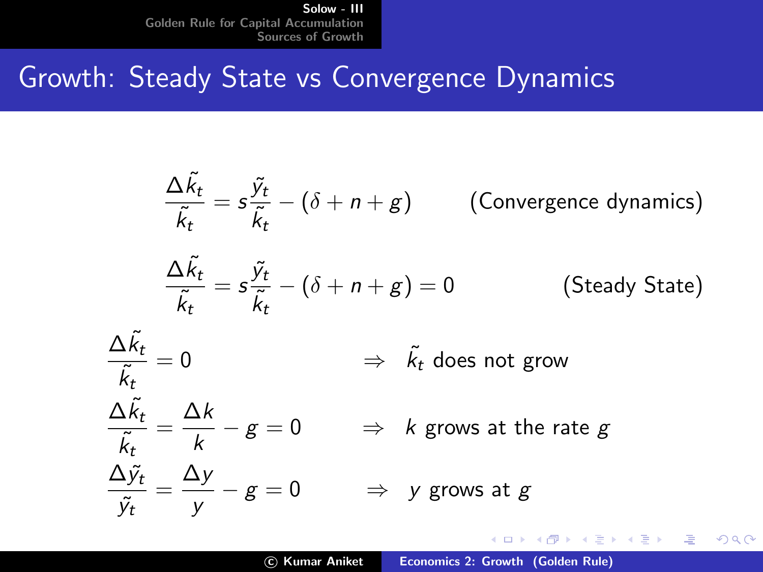# Growth: Steady State vs Convergence Dynamics

$$
\frac{\Delta \tilde{k}_t}{\tilde{k}_t} = s \frac{\tilde{y}_t}{\tilde{k}_t} - (\delta + n + g) \qquad \text{(Convergence dynamics)}
$$
\n
$$
\frac{\Delta \tilde{k}_t}{\tilde{k}_t} = s \frac{\tilde{y}_t}{\tilde{k}_t} - (\delta + n + g) = 0 \qquad \text{(Steady State)}
$$
\n
$$
\frac{\Delta \tilde{k}_t}{\tilde{k}_t} = 0 \qquad \Rightarrow \quad \tilde{k}_t \text{ does not grow}
$$
\n
$$
\frac{\Delta \tilde{k}_t}{\tilde{k}_t} = \frac{\Delta k}{k} - g = 0 \qquad \Rightarrow \quad k \text{ grows at the rate } g
$$
\n
$$
\frac{\Delta \tilde{y}_t}{\tilde{y}_t} = \frac{\Delta y}{y} - g = 0 \qquad \Rightarrow \quad y \text{ grows at } g
$$

 $\leftarrow$   $\Box$ 

メ御 ドメミ ドメミド

哇

 $299$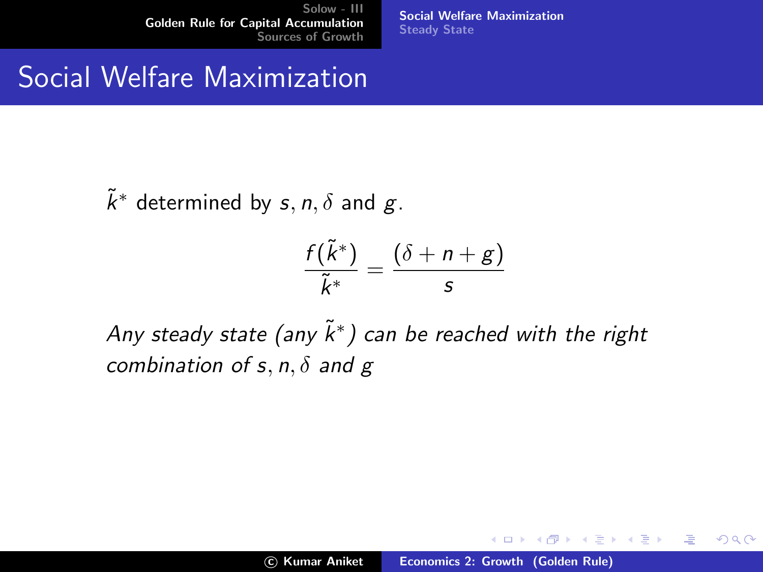[Social Welfare Maximization](#page-8-0) [Steady State](#page-14-0)

## Social Welfare Maximization

 $\tilde{k}^*$  determined by  $s, n, \delta$  and  $g$ .

$$
\frac{f(\tilde{k}^*)}{\tilde{k}^*} = \frac{(\delta + n + g)}{s}
$$

Any steady state (any  $\tilde{k}^*$ ) can be reached with the right combination of s, n,  $\delta$  and g

メロメ メ御き メミメ メミメー

<span id="page-7-0"></span>哇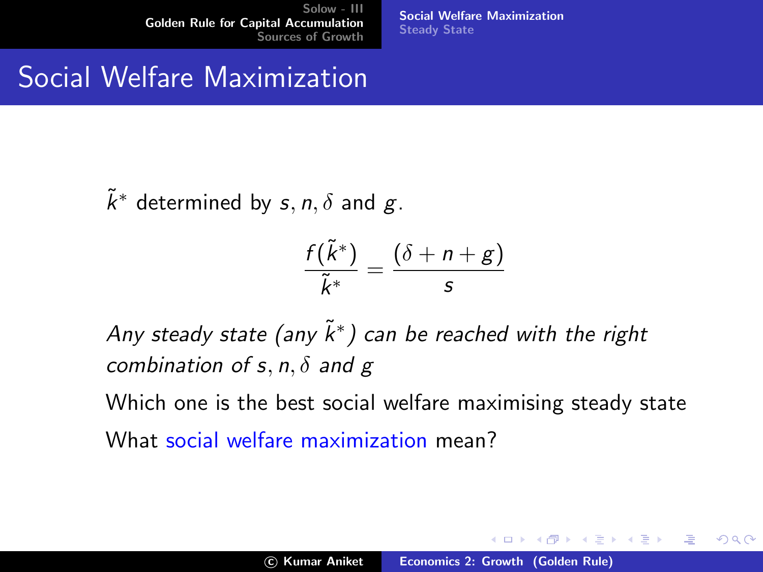[Social Welfare Maximization](#page-7-0) [Steady State](#page-14-0)

## Social Welfare Maximization

 $\tilde{k}^*$  determined by  $s, n, \delta$  and  $g$ .

$$
\frac{f(\tilde{k}^*)}{\tilde{k}^*} = \frac{(\delta + n + g)}{s}
$$

Any steady state (any  $\tilde{k}^*$ ) can be reached with the right combination of s, n,  $\delta$  and g

Which one is the best social welfare maximising steady state What social welfare maximization mean?

**K ロ ト K 倒 ト K 走 ト** 

<span id="page-8-0"></span>∢ 重う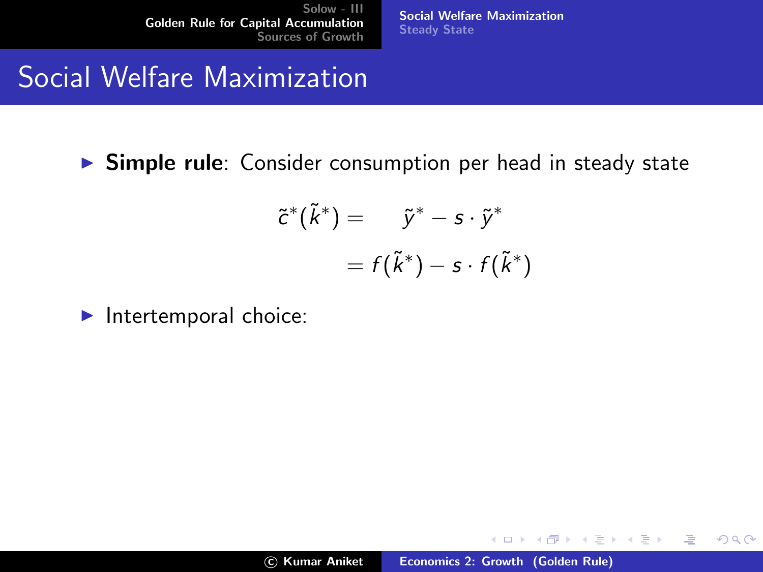[Social Welfare Maximization](#page-7-0) [Steady State](#page-14-0)

## Social Welfare Maximization

 $\triangleright$  Simple rule: Consider consumption per head in steady state

$$
\begin{aligned} \tilde{c}^*(\tilde{k}^*) &= \tilde{y}^* - s \cdot \tilde{y}^* \\ &= f(\tilde{k}^*) - s \cdot f(\tilde{k}^*) \end{aligned}
$$

 $\blacktriangleright$  Intertemporal choice:

a mills.

→ (御)→ → 君 → → 君 → →

哇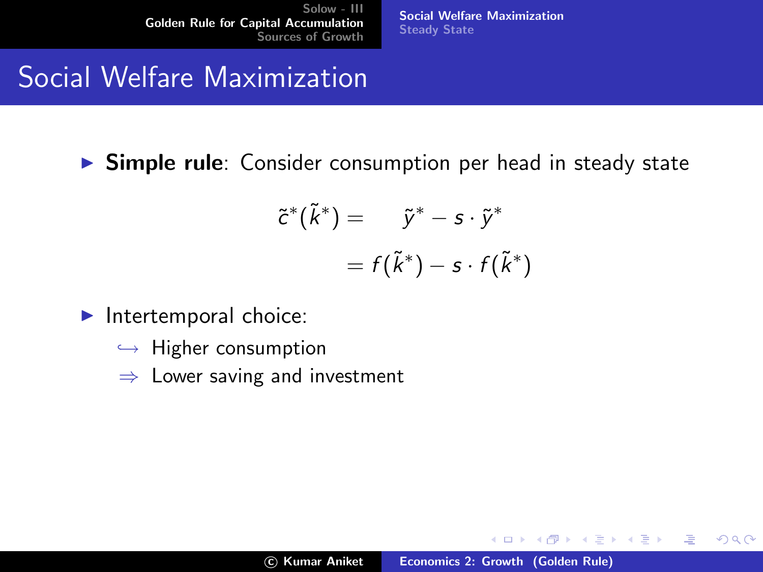[Social Welfare Maximization](#page-7-0) [Steady State](#page-14-0)

# Social Welfare Maximization

 $\triangleright$  Simple rule: Consider consumption per head in steady state

$$
\tilde{c}^*(\tilde{k}^*) = \tilde{y}^* - s \cdot \tilde{y}^*
$$

$$
= f(\tilde{k}^*) - s \cdot f(\tilde{k}^*)
$$

- $\blacktriangleright$  Intertemporal choice:
	- $\hookrightarrow$  Higher consumption
	- $\Rightarrow$  Lower saving and investment

 $4.17 \times$ 

 $\leftarrow$   $\leftarrow$   $\leftarrow$ 

ス 重っ

メ 店 ト

哇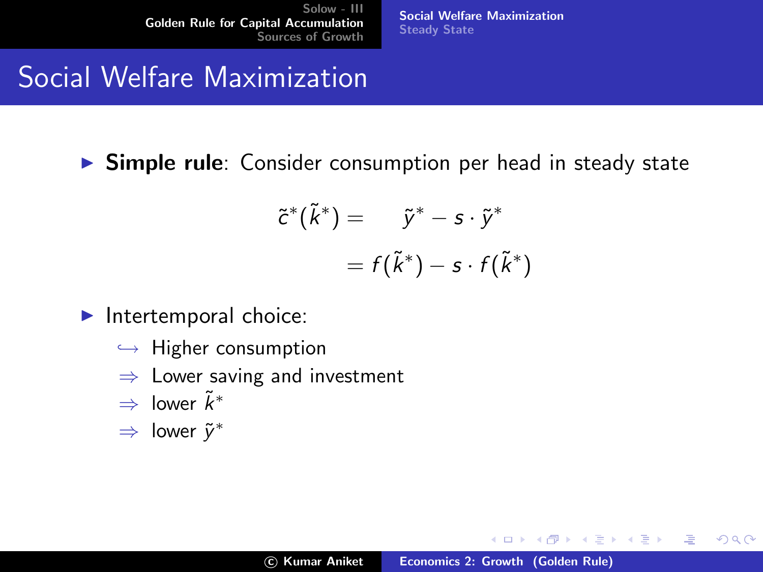[Social Welfare Maximization](#page-7-0) [Steady State](#page-14-0)

# Social Welfare Maximization

**Simple rule**: Consider consumption per head in steady state

$$
\tilde{c}^*(\tilde{k}^*) = \tilde{y}^* - s \cdot \tilde{y}^*
$$

$$
= f(\tilde{k}^*) - s \cdot f(\tilde{k}^*)
$$

- $\blacktriangleright$  Intertemporal choice:
	- $\hookrightarrow$  Higher consumption
	- $\Rightarrow$  Lower saving and investment
	- $\Rightarrow$  lower  $\tilde{k}^*$
	- $\Rightarrow$  lower  $\tilde{y}^*$

4 间 1

 $4.17 \times$ 

ス 重っ

メ 店 ト

唐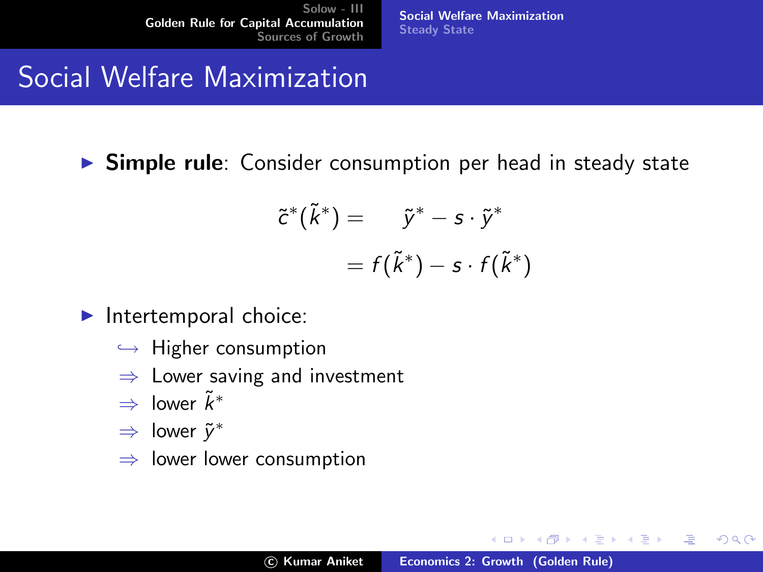[Social Welfare Maximization](#page-7-0) [Steady State](#page-14-0)

# Social Welfare Maximization

 $\triangleright$  Simple rule: Consider consumption per head in steady state

$$
\tilde{c}^*(\tilde{k}^*) = \tilde{y}^* - s \cdot \tilde{y}^*
$$

$$
= f(\tilde{k}^*) - s \cdot f(\tilde{k}^*)
$$

- $\blacktriangleright$  Intertemporal choice:
	- $\hookrightarrow$  Higher consumption
	- $\Rightarrow$  Lower saving and investment
	- $\Rightarrow$  lower  $\tilde{k}^*$
	- $\Rightarrow$  lower  $\tilde{y}^*$
	- $\Rightarrow$  lower lower consumption

 $4.17 \times$ 

 $\leftarrow$   $\leftarrow$   $\leftarrow$ 

メ 店 ト

∢ 重→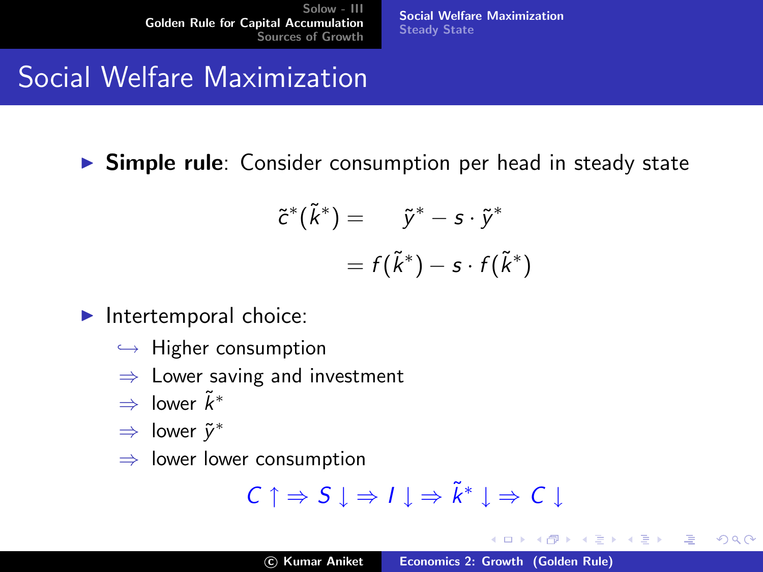[Social Welfare Maximization](#page-7-0) [Steady State](#page-14-0)

# Social Welfare Maximization

 $\triangleright$  Simple rule: Consider consumption per head in steady state

$$
\tilde{c}^*(\tilde{k}^*) = \tilde{y}^* - s \cdot \tilde{y}^*
$$

$$
= f(\tilde{k}^*) - s \cdot f(\tilde{k}^*)
$$

- $\blacktriangleright$  Intertemporal choice:
	- $\hookrightarrow$  Higher consumption
	- $\Rightarrow$  Lower saving and investment
	- $\Rightarrow$  lower  $\tilde{k}^*$
	- $\Rightarrow$  lower  $\tilde{y}^*$
	- $\Rightarrow$  lower lower consumption

$$
C \uparrow \Rightarrow S \downarrow \Rightarrow I \downarrow \Rightarrow \tilde{k}^* \downarrow \Rightarrow C \downarrow
$$

 $4.17 \times$ 

 $\leftarrow$   $\leftarrow$   $\leftarrow$ 一 4 周 ト ス 重っ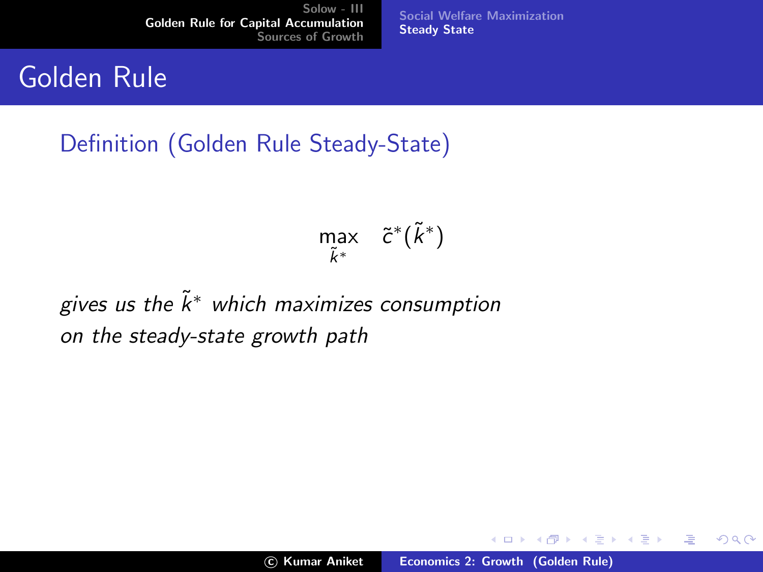Golden Rule

Definition (Golden Rule Steady-State)

$$
\max_{\tilde{k}^*} \quad \tilde{c}^*(\tilde{k}^*)
$$

[Social Welfare Maximization](#page-7-0)

[Steady State](#page-15-0)

gives us the  $\tilde{k}^*$  which maximizes consumption on the steady-state growth path

a mills.

メ御 トメ ヨ トメ ヨ ト

<span id="page-14-0"></span>哇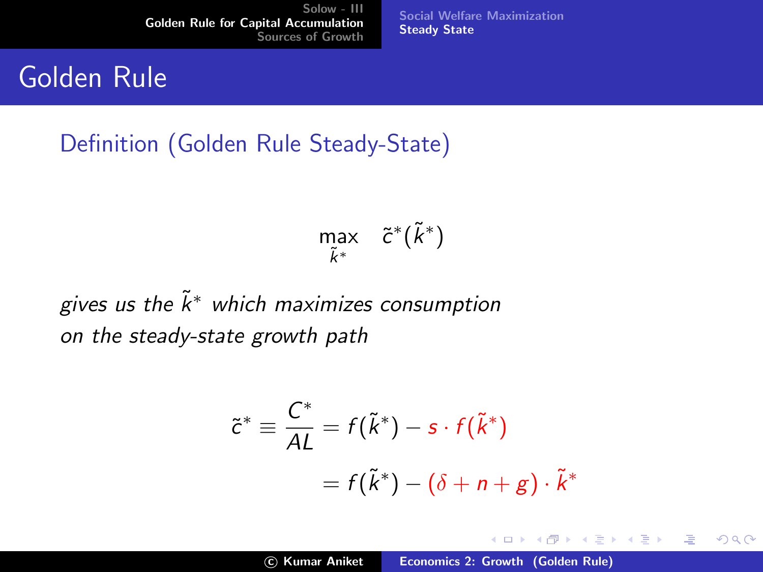## Golden Rule

Definition (Golden Rule Steady-State)

$$
\max_{\tilde{k}^*} \quad \tilde{c}^*(\tilde{k}^*)
$$

[Social Welfare Maximization](#page-7-0)

[Steady State](#page-14-0)

gives us the  $\tilde{k}^*$  which maximizes consumption on the steady-state growth path

$$
\tilde{c}^* \equiv \frac{C^*}{AL} = f(\tilde{k}^*) - s \cdot f(\tilde{k}^*)
$$

$$
= f(\tilde{k}^*) - (\delta + n + g) \cdot \tilde{k}^*
$$

a mills.

メ御 メメモ メモ メ

<span id="page-15-0"></span>哇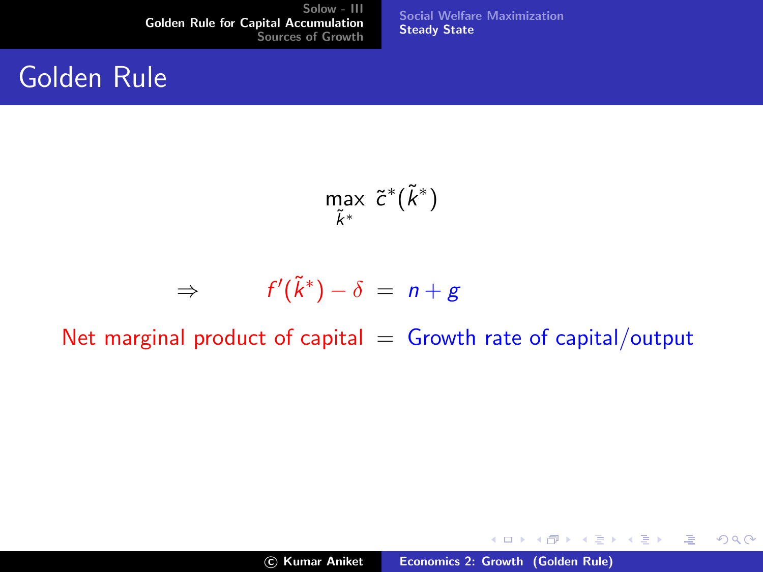## Golden Rule

[Social Welfare Maximization](#page-7-0) [Steady State](#page-14-0)

max k˜∗  $\tilde{c}^*(\tilde{k}^*)$ 

$$
\Rightarrow \qquad f'(\tilde{k}^*) - \delta \ = \ n + g
$$

Net marginal product of capital  $=$  Growth rate of capital/output

K ロ ▶ K 個 ▶ K 君 ▶ K 君 ▶ ...

佳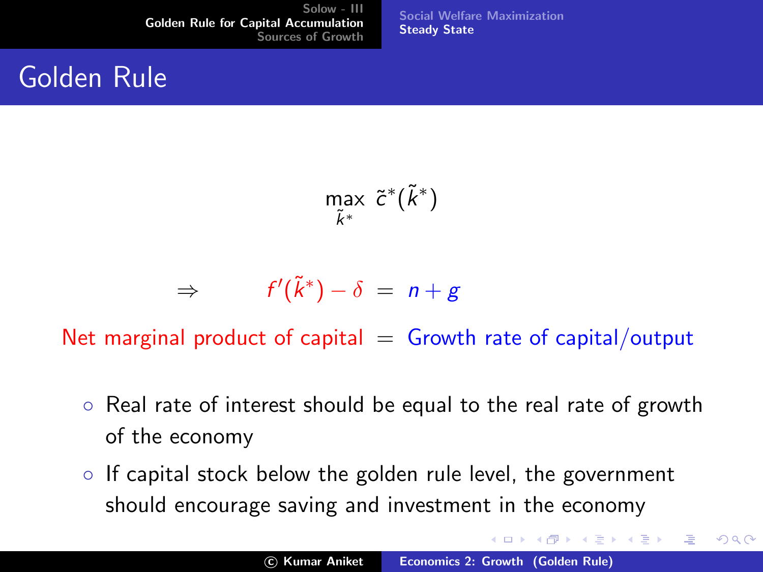## Golden Rule

[Social Welfare Maximization](#page-7-0) [Steady State](#page-14-0)

max k˜∗  $\tilde{c}^*(\tilde{k}^*)$ 

$$
\Rightarrow \qquad f'(\tilde{k}^*) - \delta \ = \ n + g
$$

Net marginal product of capital  $=$  Growth rate of capital/output

- Real rate of interest should be equal to the real rate of growth of the economy
- If capital stock below the golden rule level, the government should encourage saving and investment in the economy

メロメ メ御 メメ きょくきょう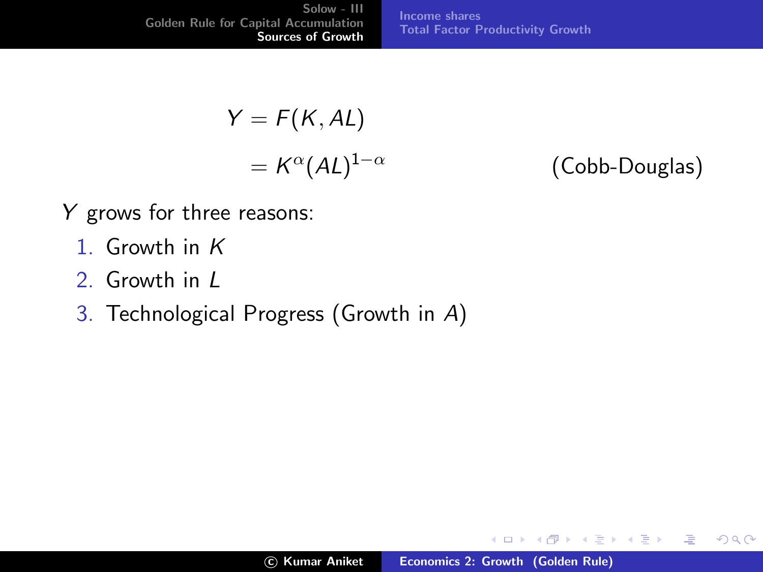[Solow - III](#page-1-0) [Golden Rule for Capital Accumulation](#page-7-0) [Sources of Growth](#page-18-0) [Income shares](#page-20-0) [Total Factor Productivity Growth](#page-26-0)

$$
Y = F(K, AL)
$$

$$
= K^{\alpha} (AL)^{1-\alpha}
$$

(Cobb-Douglas)

メロメ メ御 メメ きょくきょう

<span id="page-18-0"></span>哇

- Y grows for three reasons:
	- 1 Growth in K
	- 2. Growth in L
	- 3. Technological Progress (Growth in A)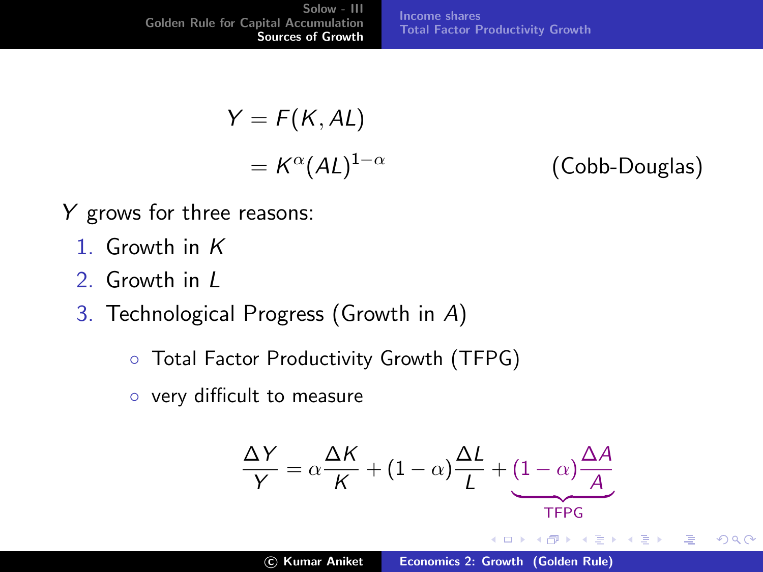[Solow - III](#page-1-0) [Golden Rule for Capital Accumulation](#page-7-0) [Sources of Growth](#page-18-0) [Income shares](#page-20-0) [Total Factor Productivity Growth](#page-26-0)

$$
Y = F(K, AL)
$$

$$
= K^{\alpha} (AL)^{1-\alpha}
$$

(Cobb-Douglas)

哇

- Y grows for three reasons:
	- 1 Growth in K
	- 2. Growth in L
	- 3. Technological Progress (Growth in A)
		- Total Factor Productivity Growth (TFPG)
		- very difficult to measure

$$
\frac{\Delta Y}{Y} = \alpha \frac{\Delta K}{K} + (1 - \alpha) \frac{\Delta L}{L} + (1 - \alpha) \frac{\Delta A}{A}
$$
\n
$$
\underbrace{\text{TFPG}}_{\text{CP} \times \text{CP} \times \text{CP} \times \text{CP} \times \text{CP} \times \text{CP}}
$$
\n
$$
\text{C) Kumar Aniket}
$$
\n
$$
\text{Economics 2: Growth (Golden Rule)}
$$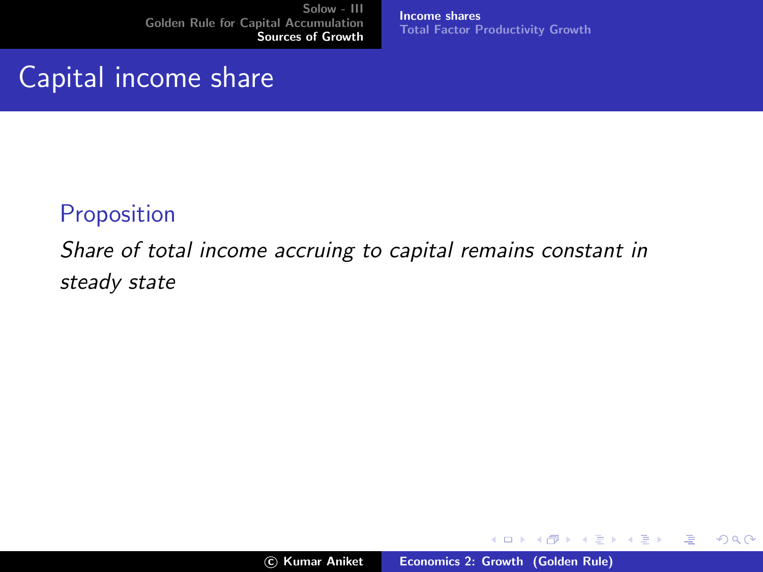Capital income share

[Income shares](#page-22-0) [Total Factor Productivity Growth](#page-26-0)

#### **Proposition**

Share of total income accruing to capital remains constant in steady state

メロメ メ御き メミメ メミメー

<span id="page-20-0"></span>哇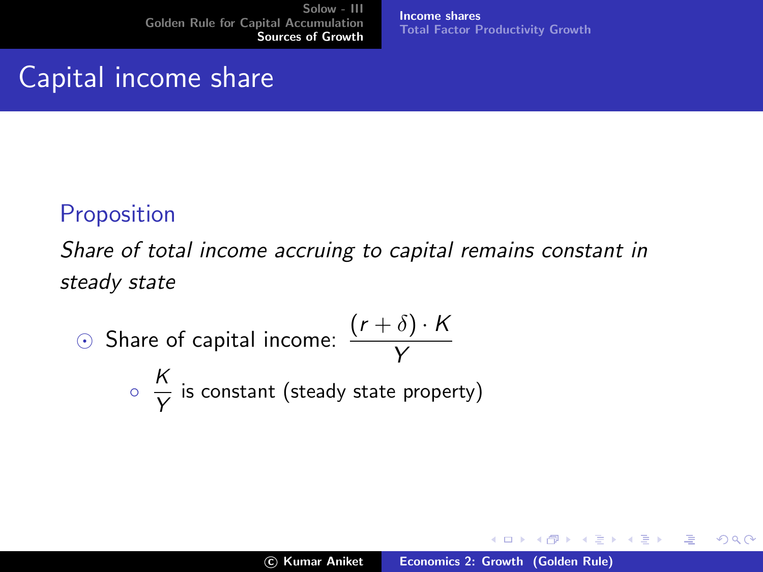Capital income share

#### [Income shares](#page-22-0) [Total Factor Productivity Growth](#page-26-0)

### **Proposition**

Share of total income accruing to capital remains constant in steady state

\n- Share of capital income: 
$$
\frac{(r+\delta) \cdot K}{Y}
$$
\n- $\frac{K}{Y}$  is constant (steady state property)
\n

メロメ メ御 メメ きょ メモメ

哇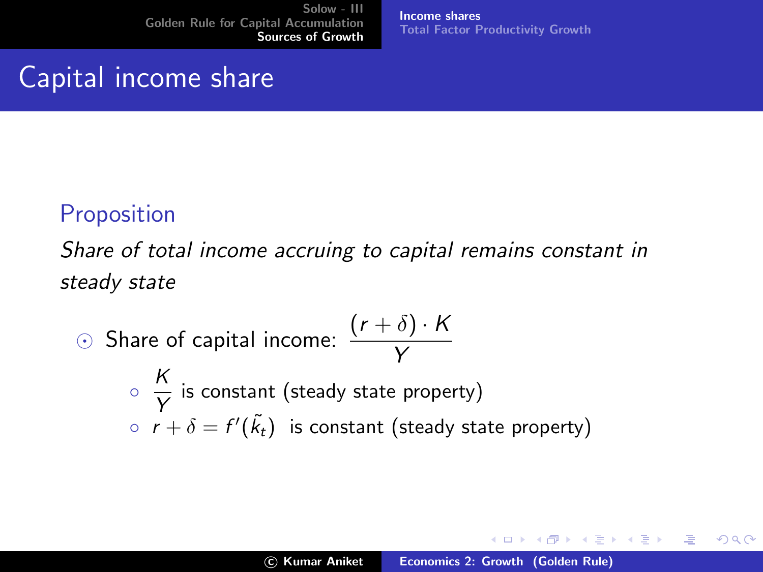Capital income share

#### [Income shares](#page-20-0) [Total Factor Productivity Growth](#page-26-0)

### **Proposition**

Share of total income accruing to capital remains constant in steady state

\n- \n
$$
\odot
$$
 Share of capital income: \n  $\frac{(r+\delta)\cdot K}{Y}$ \n
\n- \n $\frac{K}{Y}$  is constant (steady state property)\n
\n- \n $r + \delta = f'(\tilde{k}_t)$  is constant (steady state property)\n
\n

メロメ メ御 メメ きょくきょう

<span id="page-22-0"></span>哇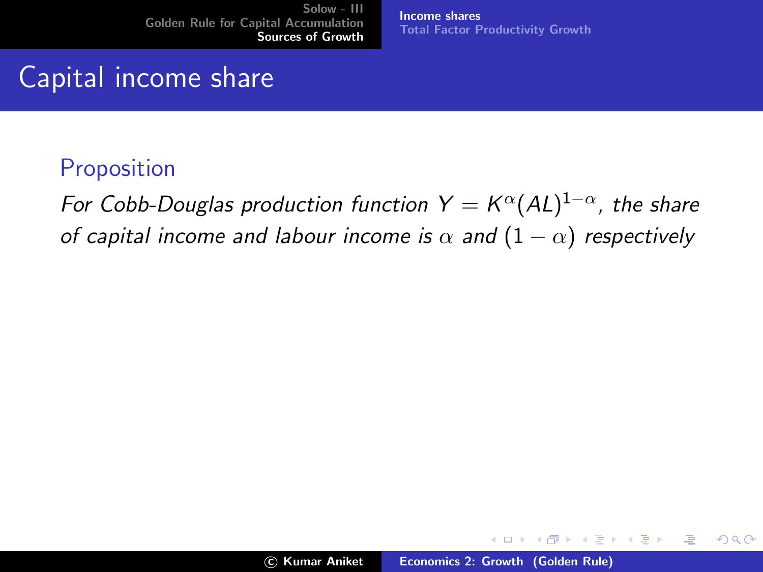[Income shares](#page-20-0) [Total Factor Productivity Growth](#page-26-0)

# Capital income share

#### Proposition

For Cobb-Douglas production function  $Y = K^{\alpha}(AL)^{1-\alpha}$ , the share of capital income and labour income is  $\alpha$  and  $(1 - \alpha)$  respectively

メロメ メ御 メメ きょくきょう

 $2Q$ 

哇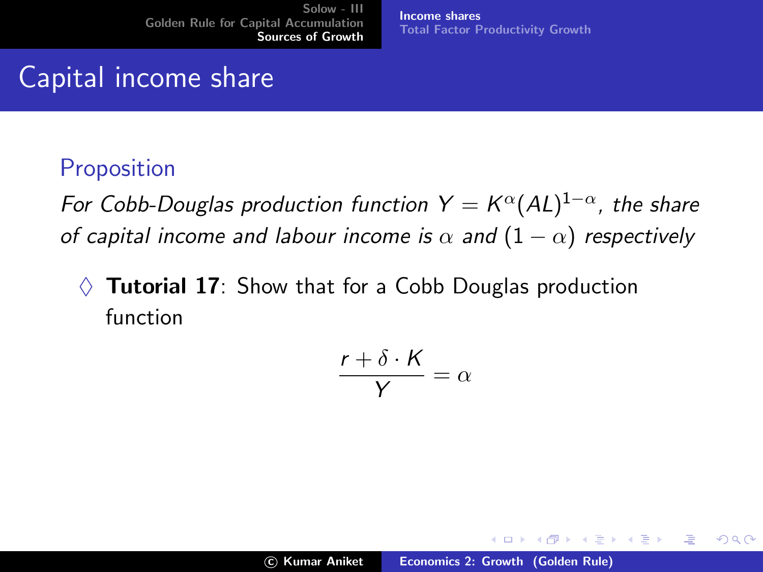Capital income share

Proposition

For Cobb-Douglas production function  $Y = K^{\alpha}(AL)^{1-\alpha}$ , the share of capital income and labour income is  $\alpha$  and  $(1 - \alpha)$  respectively

[Income shares](#page-20-0)

[Total Factor Productivity Growth](#page-26-0)

**Tutorial 17:** Show that for a Cobb Douglas production function

$$
\frac{r+\delta\cdot K}{Y}=\alpha
$$

メロメ メ御き メミメ メミメー

 $2Q$ 

哇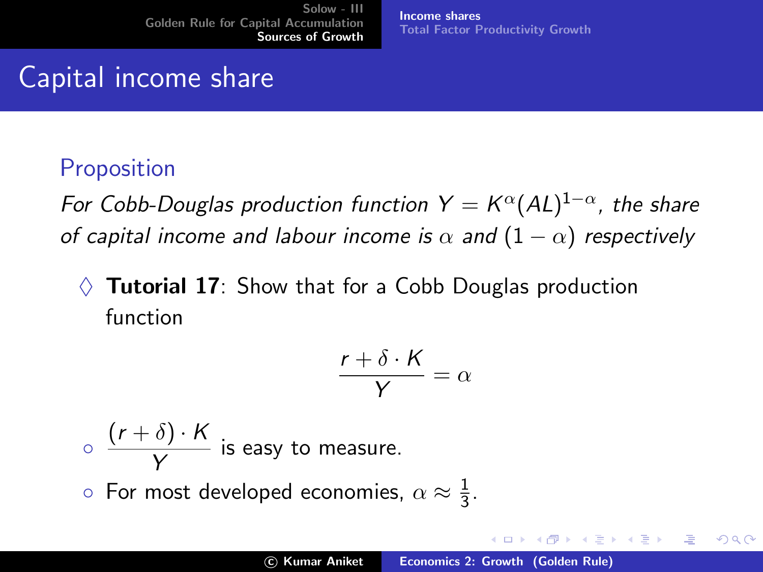Capital income share

#### **Proposition**

For Cobb-Douglas production function  $Y = K^{\alpha}(AL)^{1-\alpha}$ , the share of capital income and labour income is  $\alpha$  and  $(1 - \alpha)$  respectively

[Income shares](#page-20-0)

[Total Factor Productivity Growth](#page-26-0)

**Tutorial 17:** Show that for a Cobb Douglas production function

$$
\frac{r+\delta\cdot K}{Y}=\alpha
$$

 $\circ \frac{(r+\delta)\cdot K}{\gamma}$  $\frac{\sqrt{y}}{Y}$  is easy to measure.  $\circ$  For most developed economies,  $\alpha \approx \frac{1}{3}$  $\frac{1}{3}$ .

メロメ メ御き メミメ メミメー

 $\Omega$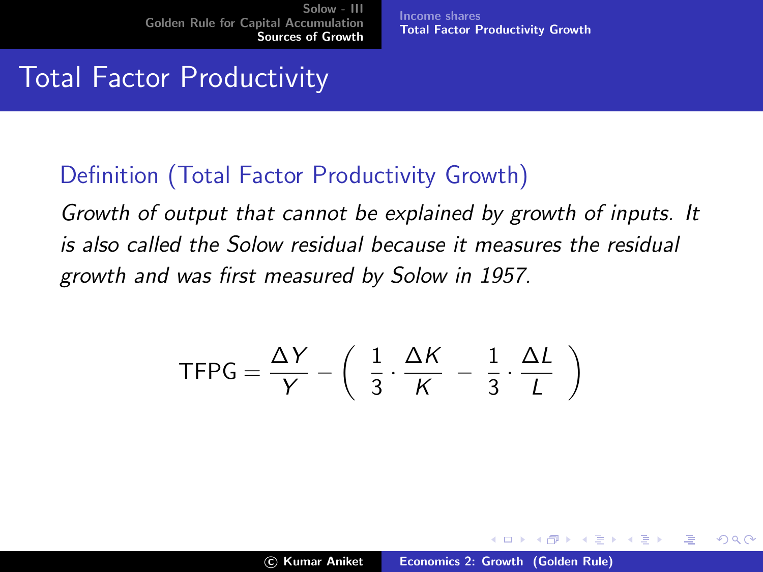[Income shares](#page-20-0) [Total Factor Productivity Growth](#page-27-0)

# Total Factor Productivity

#### Definition (Total Factor Productivity Growth)

Growth of output that cannot be explained by growth of inputs. It is also called the Solow residual because it measures the residual growth and was first measured by Solow in 1957.

$$
\mathsf{TFPG} = \frac{\Delta Y}{Y} - \left( \frac{1}{3} \cdot \frac{\Delta K}{K} - \frac{1}{3} \cdot \frac{\Delta L}{L} \right)
$$

<span id="page-26-0"></span>メロメ メ団 メメミメメミメ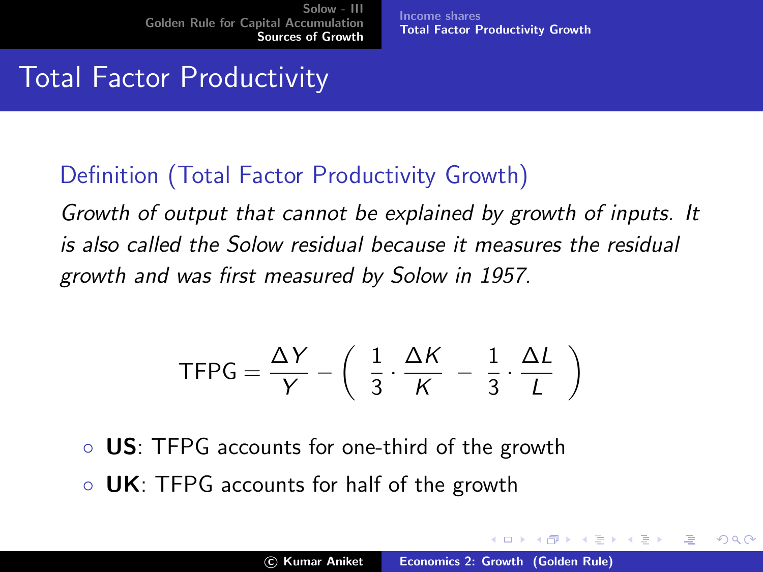[Income shares](#page-20-0) [Total Factor Productivity Growth](#page-26-0)

# Total Factor Productivity

#### Definition (Total Factor Productivity Growth)

Growth of output that cannot be explained by growth of inputs. It is also called the Solow residual because it measures the residual growth and was first measured by Solow in 1957.

$$
\mathsf{TFPG} = \frac{\Delta Y}{Y} - \left( \frac{1}{3} \cdot \frac{\Delta K}{K} - \frac{1}{3} \cdot \frac{\Delta L}{L} \right)
$$

- US: TFPG accounts for one-third of the growth
- UK: TFPG accounts for half of the growth

 $\mathcal{A}$  and  $\mathcal{A}$  in  $\mathcal{A}$  . If  $\mathcal{A}$ 

 $\left\{ \begin{array}{c} 1 \end{array} \right.$ 

<span id="page-27-0"></span>へのへ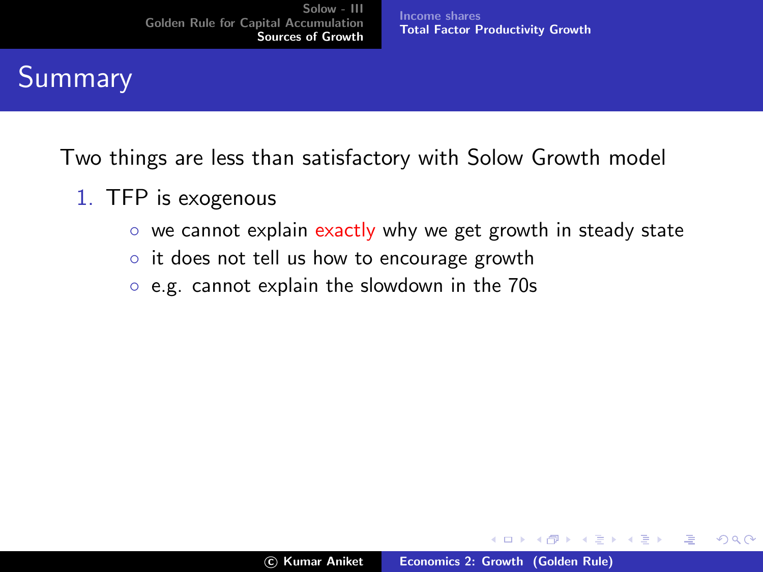[Income shares](#page-20-0) [Total Factor Productivity Growth](#page-26-0)

# Summary

Two things are less than satisfactory with Solow Growth model

- 1. TFP is exogenous
	- we cannot explain exactly why we get growth in steady state
	- it does not tell us how to encourage growth
	- e.g. cannot explain the slowdown in the 70s

メロメ メ御 メメ きょくきょう

哇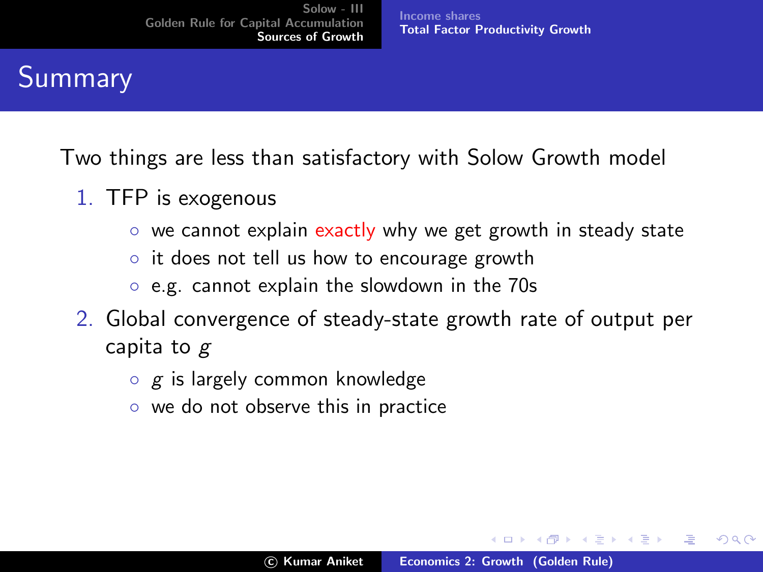[Income shares](#page-20-0) [Total Factor Productivity Growth](#page-26-0)

# Summary

Two things are less than satisfactory with Solow Growth model

- 1. TFP is exogenous
	- we cannot explain exactly why we get growth in steady state
	- it does not tell us how to encourage growth
	- e.g. cannot explain the slowdown in the 70s
- 2. Global convergence of steady-state growth rate of output per capita to g
	- $\circ$  g is largely common knowledge
	- we do not observe this in practice

K ロ ⊁ K 倒 ≯ K ミ ⊁ K ミ ⊁